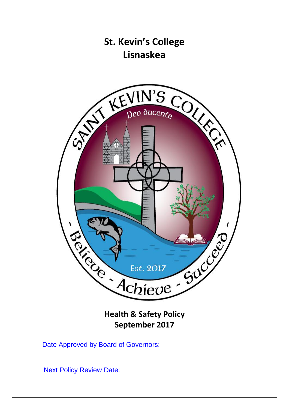

**Health & Safety Policy September 2017**

Date Approved by Board of Governors:

Next Policy Review Date: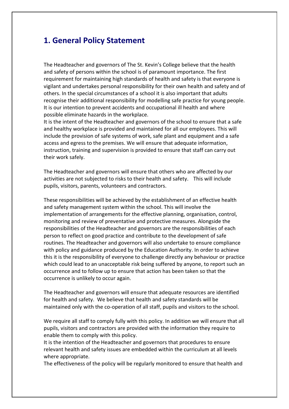# **1. General Policy Statement**

The Headteacher and governors of The St. Kevin's College believe that the health and safety of persons within the school is of paramount importance. The first requirement for maintaining high standards of health and safety is that everyone is vigilant and undertakes personal responsibility for their own health and safety and of others. In the special circumstances of a school it is also important that adults recognise their additional responsibility for modelling safe practice for young people. It is our intention to prevent accidents and occupational ill health and where possible eliminate hazards in the workplace.

It is the intent of the Headteacher and governors of the school to ensure that a safe and healthy workplace is provided and maintained for all our employees. This will include the provision of safe systems of work, safe plant and equipment and a safe access and egress to the premises. We will ensure that adequate information, instruction, training and supervision is provided to ensure that staff can carry out their work safely.

The Headteacher and governors will ensure that others who are affected by our activities are not subjected to risks to their health and safety. This will include pupils, visitors, parents, volunteers and contractors.

These responsibilities will be achieved by the establishment of an effective health and safety management system within the school. This will involve the implementation of arrangements for the effective planning, organisation, control, monitoring and review of preventative and protective measures. Alongside the responsibilities of the Headteacher and governors are the responsibilities of each person to reflect on good practice and contribute to the development of safe routines. The Headteacher and governors will also undertake to ensure compliance with policy and guidance produced by the Education Authority. In order to achieve this it is the responsibility of everyone to challenge directly any behaviour or practice which could lead to an unacceptable risk being suffered by anyone, to report such an occurrence and to follow up to ensure that action has been taken so that the occurrence is unlikely to occur again.

The Headteacher and governors will ensure that adequate resources are identified for health and safety. We believe that health and safety standards will be maintained only with the co-operation of all staff, pupils and visitors to the school.

We require all staff to comply fully with this policy. In addition we will ensure that all pupils, visitors and contractors are provided with the information they require to enable them to comply with this policy.

It is the intention of the Headteacher and governors that procedures to ensure relevant health and safety issues are embedded within the curriculum at all levels where appropriate.

The effectiveness of the policy will be regularly monitored to ensure that health and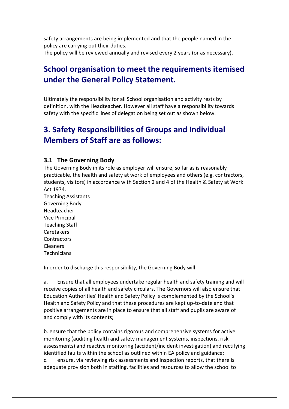safety arrangements are being implemented and that the people named in the policy are carrying out their duties. The policy will be reviewed annually and revised every 2 years (or as necessary).

# **School organisation to meet the requirements itemised under the General Policy Statement.**

Ultimately the responsibility for all School organisation and activity rests by definition, with the Headteacher. However all staff have a responsibility towards safety with the specific lines of delegation being set out as shown below.

# **3. Safety Responsibilities of Groups and Individual Members of Staff are as follows:**

#### **3.1 The Governing Body**

The Governing Body in its role as employer will ensure, so far as is reasonably practicable, the health and safety at work of employees and others (e.g. contractors, students, visitors) in accordance with Section 2 and 4 of the Health & Safety at Work Act 1974.

Teaching Assistants Governing Body Headteacher Vice Principal Teaching Staff Caretakers **Contractors** Cleaners **Technicians** 

In order to discharge this responsibility, the Governing Body will:

a. Ensure that all employees undertake regular health and safety training and will receive copies of all health and safety circulars. The Governors will also ensure that Education Authorities' Health and Safety Policy is complemented by the School's Health and Safety Policy and that these procedures are kept up-to-date and that positive arrangements are in place to ensure that all staff and pupils are aware of and comply with its contents;

b. ensure that the policy contains rigorous and comprehensive systems for active monitoring (auditing health and safety management systems, inspections, risk assessments) and reactive monitoring (accident/incident investigation) and rectifying identified faults within the school as outlined within EA policy and guidance; c. ensure, via reviewing risk assessments and inspection reports, that there is adequate provision both in staffing, facilities and resources to allow the school to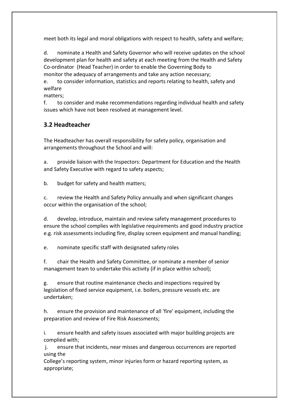meet both its legal and moral obligations with respect to health, safety and welfare;

d. nominate a Health and Safety Governor who will receive updates on the school development plan for health and safety at each meeting from the Health and Safety Co-ordinator (Head Teacher) in order to enable the Governing Body to monitor the adequacy of arrangements and take any action necessary;

e. to consider information, statistics and reports relating to health, safety and welfare

matters;

f. to consider and make recommendations regarding individual health and safety issues which have not been resolved at management level.

## **3.2 Headteacher**

The Headteacher has overall responsibility for safety policy, organisation and arrangements throughout the School and will:

a. provide liaison with the Inspectors: Department for Education and the Health and Safety Executive with regard to safety aspects;

b. budget for safety and health matters;

c. review the Health and Safety Policy annually and when significant changes occur within the organisation of the school;

d. develop, introduce, maintain and review safety management procedures to ensure the school complies with legislative requirements and good industry practice e.g. risk assessments including fire, display screen equipment and manual handling;

e. nominate specific staff with designated safety roles

f. chair the Health and Safety Committee, or nominate a member of senior management team to undertake this activity (if in place within school);

g. ensure that routine maintenance checks and inspections required by legislation of fixed service equipment, i.e. boilers, pressure vessels etc. are undertaken;

h. ensure the provision and maintenance of all 'fire' equipment, including the preparation and review of Fire Risk Assessments;

i. ensure health and safety issues associated with major building projects are complied with;

j. ensure that incidents, near misses and dangerous occurrences are reported using the

College's reporting system, minor injuries form or hazard reporting system, as appropriate;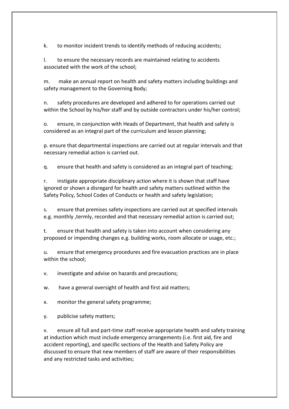k. to monitor incident trends to identify methods of reducing accidents;

l. to ensure the necessary records are maintained relating to accidents associated with the work of the school;

m. make an annual report on health and safety matters including buildings and safety management to the Governing Body;

n. safety procedures are developed and adhered to for operations carried out within the School by his/her staff and by outside contractors under his/her control;

o. ensure, in conjunction with Heads of Department, that health and safety is considered as an integral part of the curriculum and lesson planning;

p. ensure that departmental inspections are carried out at regular intervals and that necessary remedial action is carried out.

q. ensure that health and safety is considered as an integral part of teaching;

r. instigate appropriate disciplinary action where it is shown that staff have ignored or shown a disregard for health and safety matters outlined within the Safety Policy, School Codes of Conducts or health and safety legislation;

s. ensure that premises safety inspections are carried out at specified intervals e.g. monthly ,termly, recorded and that necessary remedial action is carried out;

t. ensure that health and safety is taken into account when considering any proposed or impending changes e.g. building works, room allocate or usage, etc.;

u. ensure that emergency procedures and fire evacuation practices are in place within the school;

v. investigate and advise on hazards and precautions;

w. have a general oversight of health and first aid matters;

x. monitor the general safety programme;

y. publicise safety matters;

v. ensure all full and part-time staff receive appropriate health and safety training at induction which must include emergency arrangements (i.e. first aid, fire and accident reporting), and specific sections of the Health and Safety Policy are discussed to ensure that new members of staff are aware of their responsibilities and any restricted tasks and activities;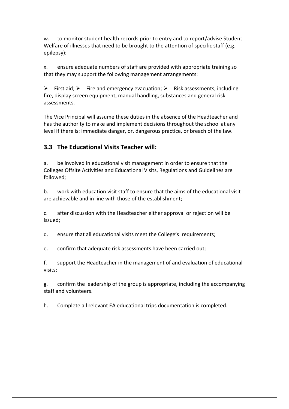w. to monitor student health records prior to entry and to report/advise Student Welfare of illnesses that need to be brought to the attention of specific staff (e.g. epilepsy);

x. ensure adequate numbers of staff are provided with appropriate training so that they may support the following management arrangements:

First aid;  $\triangleright$  Fire and emergency evacuation;  $\triangleright$  Risk assessments, including fire, display screen equipment, manual handling, substances and general risk assessments.

The Vice Principal will assume these duties in the absence of the Headteacher and has the authority to make and implement decisions throughout the school at any level if there is: immediate danger, or, dangerous practice, or breach of the law.

### **3.3 The Educational Visits Teacher will:**

a. be involved in educational visit management in order to ensure that the Colleges Offsite Activities and Educational Visits, Regulations and Guidelines are followed;

b. work with education visit staff to ensure that the aims of the educational visit are achievable and in line with those of the establishment;

c. after discussion with the Headteacher either approval or rejection will be issued;

d. ensure that all educational visits meet the College's requirements;

e. confirm that adequate risk assessments have been carried out;

f. support the Headteacher in the management of and evaluation of educational visits;

g. confirm the leadership of the group is appropriate, including the accompanying staff and volunteers.

h. Complete all relevant EA educational trips documentation is completed.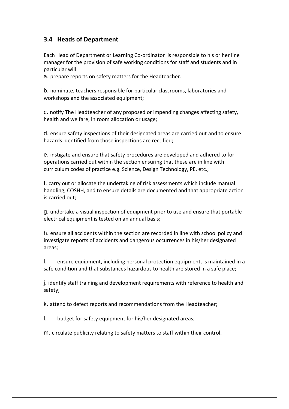### **3.4 Heads of Department**

Each Head of Department or Learning Co-ordinator is responsible to his or her line manager for the provision of safe working conditions for staff and students and in particular will:

a. prepare reports on safety matters for the Headteacher.

b. nominate, teachers responsible for particular classrooms, laboratories and workshops and the associated equipment;

c. notify The Headteacher of any proposed or impending changes affecting safety, health and welfare, in room allocation or usage;

d. ensure safety inspections of their designated areas are carried out and to ensure hazards identified from those inspections are rectified;

e. instigate and ensure that safety procedures are developed and adhered to for operations carried out within the section ensuring that these are in line with curriculum codes of practice e.g. Science, Design Technology, PE, etc.;

f. carry out or allocate the undertaking of risk assessments which include manual handling, COSHH, and to ensure details are documented and that appropriate action is carried out;

g. undertake a visual inspection of equipment prior to use and ensure that portable electrical equipment is tested on an annual basis;

h. ensure all accidents within the section are recorded in line with school policy and investigate reports of accidents and dangerous occurrences in his/her designated areas;

i. ensure equipment, including personal protection equipment, is maintained in a safe condition and that substances hazardous to health are stored in a safe place;

j. identify staff training and development requirements with reference to health and safety;

k. attend to defect reports and recommendations from the Headteacher;

l. budget for safety equipment for his/her designated areas;

m. circulate publicity relating to safety matters to staff within their control.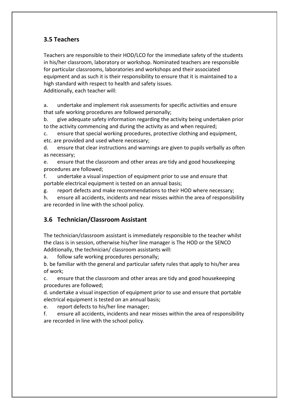### **3.5 Teachers**

Teachers are responsible to their HOD/LCO for the immediate safety of the students in his/her classroom, laboratory or workshop. Nominated teachers are responsible for particular classrooms, laboratories and workshops and their associated equipment and as such it is their responsibility to ensure that it is maintained to a high standard with respect to health and safety issues. Additionally, each teacher will:

a. undertake and implement risk assessments for specific activities and ensure that safe working procedures are followed personally;

b. give adequate safety information regarding the activity being undertaken prior to the activity commencing and during the activity as and when required;

c. ensure that special working procedures, protective clothing and equipment, etc. are provided and used where necessary;

d. ensure that clear instructions and warnings are given to pupils verbally as often as necessary;

e. ensure that the classroom and other areas are tidy and good housekeeping procedures are followed;

f. undertake a visual inspection of equipment prior to use and ensure that portable electrical equipment is tested on an annual basis;

g. report defects and make recommendations to their HOD where necessary;

h. ensure all accidents, incidents and near misses within the area of responsibility are recorded in line with the school policy.

### **3.6 Technician/Classroom Assistant**

The technician/classroom assistant is immediately responsible to the teacher whilst the class is in session, otherwise his/her line manager is The HOD or the SENCO Additionally, the technician/ classroom assistants will:

a. follow safe working procedures personally;

b. be familiar with the general and particular safety rules that apply to his/her area of work;

c. ensure that the classroom and other areas are tidy and good housekeeping procedures are followed;

d. undertake a visual inspection of equipment prior to use and ensure that portable electrical equipment is tested on an annual basis;

e. report defects to his/her line manager;

f. ensure all accidents, incidents and near misses within the area of responsibility are recorded in line with the school policy.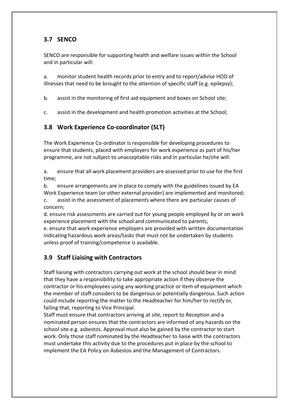### **3.7 SENCO**

SENCO are responsible for supporting health and welfare issues within the School and in particular will:

a. monitor student health records prior to entry and to report/advise HOD of illnesses that need to be brought to the attention of specific staff (e.g. epilepsy);

b. assist in the monitoring of first aid equipment and boxes on School site;

c. assist in the development and health promotion activities at the School;

### **3.8 Work Experience Co-coordinator (SLT)**

The Work Experience Co-ordinator is responsible for developing procedures to ensure that students, placed with employers for work experience as part of his/her programme, are not subject to unacceptable risks and in particular he/she will:

a. ensure that all work placement providers are assessed prior to use for the first time;

b. ensure arrangements are in place to comply with the guidelines issued by EA Work Experience team (or other external provider) are implemented and monitored;

c. assist in the assessment of placements where there are particular causes of concern;

d. ensure risk assessments are carried out for young people employed by or on work experience placement with the school and communicated to parents;

e. ensure that work experience employers are provided with written documentation indicating hazardous work areas/tasks that must not be undertaken by students unless proof of training/competence is available.

#### **3.9 Staff Liaising with Contractors**

Staff liaising with contractors carrying out work at the school should bear in mind that they have a responsibility to take appropriate action if they observe the contractor or his employees using any working practice or item of equipment which the member of staff considers to be dangerous or potentially dangerous. Such action could include reporting the matter to the Headteacher for him/her to rectify or, failing that, reporting to Vice Principal.

Staff must ensure that contractors arriving at site, report to Reception and a nominated person ensures that the contractors are informed of any hazards on the school site e.g. asbestos. Approval must also be gained by the contractor to start work. Only those staff nominated by the Headteacher to liaise with the contractors must undertake this activity due to the procedures put in place by the school to implement the EA Policy on Asbestos and the Management of Contractors.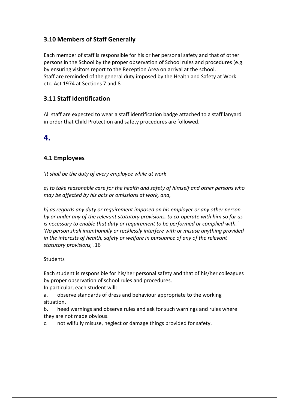### **3.10 Members of Staff Generally**

Each member of staff is responsible for his or her personal safety and that of other persons in the School by the proper observation of School rules and procedures (e.g. by ensuring visitors report to the Reception Area on arrival at the school. Staff are reminded of the general duty imposed by the Health and Safety at Work etc. Act 1974 at Sections 7 and 8

### **3.11 Staff Identification**

All staff are expected to wear a staff identification badge attached to a staff lanyard in order that Child Protection and safety procedures are followed.

## **4.**

### **4.1 Employees**

*'It shall be the duty of every employee while at work*

*a) to take reasonable care for the health and safety of himself and other persons who may be affected by his acts or omissions at work, and,*

*b) as regards any duty or requirement imposed on his employer or any other person by or under any of the relevant statutory provisions, to co-operate with him so far as is necessary to enable that duty or requirement to be performed or complied with.' 'No person shall intentionally or recklessly interfere with or misuse anything provided in the interests of health, safety or welfare in pursuance of any of the relevant statutory provisions,'*.16

#### **Students**

Each student is responsible for his/her personal safety and that of his/her colleagues by proper observation of school rules and procedures.

In particular, each student will:

a. observe standards of dress and behaviour appropriate to the working situation.

b. heed warnings and observe rules and ask for such warnings and rules where they are not made obvious.

c. not wilfully misuse, neglect or damage things provided for safety.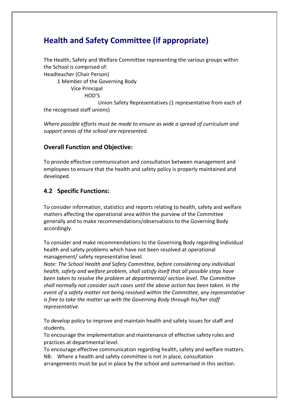# **Health and Safety Committee (if appropriate)**

The Health, Safety and Welfare Committee representing the various groups within the School is comprised of: Headteacher (Chair Person) 1 Member of the Governing Body Vice Principal HOD'S Union Safety Representatives (1 representative from each of the recognised staff unions)

*Where possible efforts must be made to ensure as wide a spread of curriculum and support areas of the school are represented.*

#### **Overall Function and Objective:**

To provide effective communication and consultation between management and employees to ensure that the health and safety policy is properly maintained and developed.

#### **4.2 Specific Functions:**

To consider information, statistics and reports relating to health, safety and welfare matters affecting the operational area within the purview of the Committee generally and to make recommendations/observations to the Governing Body accordingly.

To consider and make recommendations to the Governing Body regarding individual health and safety problems which have not been resolved at operational management/ safety representative level.

*Note: The School Health and Safety Committee, before considering any individual health, safety and welfare problem, shall satisfy itself that all possible steps have been taken to resolve the problem at departmental/ section level. The Committee shall normally not consider such cases until the above action has been taken. In the event of a safety matter not being resolved within the Committee, any representative is free to take the matter up with the Governing Body through his/her staff representative.*

To develop policy to improve and maintain health and safety issues for staff and students.

To encourage the implementation and maintenance of effective safety rules and practices at departmental level.

To encourage effective communication regarding health, safety and welfare matters. NB: Where a health and safety committee is not in place, consultation

arrangements must be put in place by the school and summarised in this section.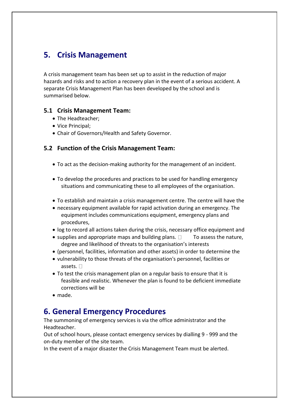# **5. Crisis Management**

A crisis management team has been set up to assist in the reduction of major hazards and risks and to action a recovery plan in the event of a serious accident. A separate Crisis Management Plan has been developed by the school and is summarised below.

#### **5.1 Crisis Management Team:**

- The Headteacher;
- Vice Principal:
- Chair of Governors/Health and Safety Governor.

#### **5.2 Function of the Crisis Management Team:**

- To act as the decision-making authority for the management of an incident.
- To develop the procedures and practices to be used for handling emergency situations and communicating these to all employees of the organisation.
- To establish and maintain a crisis management centre. The centre will have the
- necessary equipment available for rapid activation during an emergency. The equipment includes communications equipment, emergency plans and procedures,
- log to record all actions taken during the crisis, necessary office equipment and
- supplies and appropriate maps and building plans.  $\Box$  To assess the nature, degree and likelihood of threats to the organisation's interests
- (personnel, facilities, information and other assets) in order to determine the
- vulnerability to those threats of the organisation's personnel, facilities or assets.  $\Box$
- To test the crisis management plan on a regular basis to ensure that it is feasible and realistic. Whenever the plan is found to be deficient immediate corrections will be
- made.

# **6. General Emergency Procedures**

The summoning of emergency services is via the office administrator and the Headteacher.

Out of school hours, please contact emergency services by dialling 9 - 999 and the on-duty member of the site team.

In the event of a major disaster the Crisis Management Team must be alerted.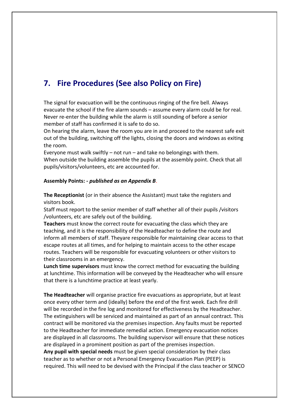# **7. Fire Procedures (See also Policy on Fire)**

The signal for evacuation will be the continuous ringing of the fire bell. Always evacuate the school if the fire alarm sounds – assume every alarm could be for real. Never re-enter the building while the alarm is still sounding of before a senior member of staff has confirmed it is safe to do so.

On hearing the alarm, leave the room you are in and proceed to the nearest safe exit out of the building, switching off the lights, closing the doors and windows as exiting the room.

Everyone must walk swiftly – not run – and take no belongings with them. When outside the building assemble the pupils at the assembly point. Check that all pupils/visitors/volunteers, etc are accounted for.

#### **Assembly Points:** *- published as an Appendix B*.

**The Receptionist** (or in their absence the Assistant) must take the registers and visitors book.

Staff must report to the senior member of staff whether all of their pupils /visitors /volunteers, etc are safely out of the building.

**Teachers** must know the correct route for evacuating the class which they are teaching, and it is the responsibility of the Headteacher to define the route and inform all members of staff. Theyare responsible for maintaining clear access to that escape routes at all times, and for helping to maintain access to the other escape routes. Teachers will be responsible for evacuating volunteers or other visitors to their classrooms in an emergency.

**Lunch time supervisors** must know the correct method for evacuating the building at lunchtime. This information will be conveyed by the Headteacher who will ensure that there is a lunchtime practice at least yearly.

**The Headteacher** will organise practice fire evacuations as appropriate, but at least once every other term and (ideally) before the end of the first week. Each fire drill will be recorded in the fire log and monitored for effectiveness by the Headteacher. The extinguishers will be serviced and maintained as part of an annual contract. This contract will be monitored via the premises inspection. Any faults must be reported to the Headteacher for immediate remedial action. Emergency evacuation notices are displayed in all classrooms. The building supervisor will ensure that these notices are displayed in a prominent position as part of the premises inspection.

**Any pupil with special needs** must be given special consideration by their class teacher as to whether or not a Personal Emergency Evacuation Plan (PEEP) is required. This will need to be devised with the Principal if the class teacher or SENCO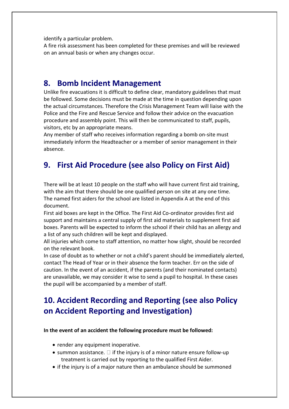identify a particular problem.

A fire risk assessment has been completed for these premises and will be reviewed on an annual basis or when any changes occur.

# **8. Bomb Incident Management**

Unlike fire evacuations it is difficult to define clear, mandatory guidelines that must be followed. Some decisions must be made at the time in question depending upon the actual circumstances. Therefore the Crisis Management Team will liaise with the Police and the Fire and Rescue Service and follow their advice on the evacuation procedure and assembly point. This will then be communicated to staff, pupils, visitors, etc by an appropriate means.

Any member of staff who receives information regarding a bomb on-site must immediately inform the Headteacher or a member of senior management in their absence.

# **9. First Aid Procedure (see also Policy on First Aid)**

There will be at least 10 people on the staff who will have current first aid training, with the aim that there should be one qualified person on site at any one time. The named first aiders for the school are listed in Appendix A at the end of this document.

First aid boxes are kept in the Office. The First Aid Co-ordinator provides first aid support and maintains a central supply of first aid materials to supplement first aid boxes. Parents will be expected to inform the school if their child has an allergy and a list of any such children will be kept and displayed.

All injuries which come to staff attention, no matter how slight, should be recorded on the relevant book.

In case of doubt as to whether or not a child's parent should be immediately alerted, contact The Head of Year or in their absence the form teacher. Err on the side of caution. In the event of an accident, if the parents (and their nominated contacts) are unavailable, we may consider it wise to send a pupil to hospital. In these cases the pupil will be accompanied by a member of staff.

# **10. Accident Recording and Reporting (see also Policy on Accident Reporting and Investigation)**

#### **In the event of an accident the following procedure must be followed:**

- render any equipment inoperative.
- summon assistance.  $\square$  if the injury is of a minor nature ensure follow-up treatment is carried out by reporting to the qualified First Aider.
- if the injury is of a major nature then an ambulance should be summoned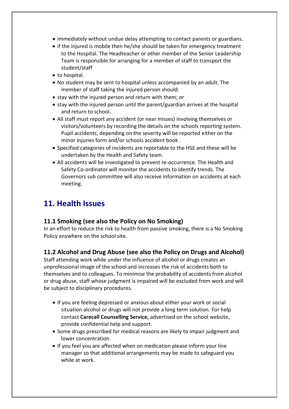- immediately without undue delay attempting to contact parents or guardians.
- if the injured is mobile then he/she should be taken for emergency treatment to the Hospital. The Headteacher or other member of the Senior Leadership Team is responsible for arranging for a member of staff to transport the student/staff
- to hospital.
- No student may be sent to hospital unless accompanied by an adult. The member of staff taking the injured person should:
- stay with the injured person and return with them; or
- $\bullet$  stay with the injured person until the parent/guardian arrives at the hospital and return to school.
- All staff must report any accident (or near misses) involving themselves or visitors/volunteers by recording the details on the schools reporting system. Pupil accidents, depending on the severity will be reported either on the minor injuries form and/or schools accident book .
- Specified categories of incidents are reportable to the HSE and these will be undertaken by the Health and Safety team.
- All accidents will be investigated to prevent re-occurrence. The Health and Safety Co-ordinator will monitor the accidents to identify trends. The Governors sub committee will also receive information on accidents at each meeting.

# **11. Health Issues**

#### **11.1 Smoking (see also the Policy on No Smoking)**

In an effort to reduce the risk to health from passive smoking, there is a No Smoking Policy anywhere on the school site.

#### **11.2 Alcohol and Drug Abuse (see also the Policy on Drugs and Alcohol)**

Staff attending work while under the influence of alcohol or drugs creates an unprofessional image of the school and increases the risk of accidents both to themselves and to colleagues. To minimise the probability of accidents from alcohol or drug abuse, staff whose judgment is impaired will be excluded from work and will be subject to disciplinary procedures.

- If you are feeling depressed or anxious about either your work or social situation alcohol or drugs will not provide a long term solution*.* For help contact **Carecall Counselling Service,** advertised on the school website, provide confidential help and support.
- Some drugs prescribed for medical reasons are likely to impair judgment and lower concentration.
- If you feel you are affected when on medication please inform your line manager so that additional arrangements may be made to safeguard you while at work.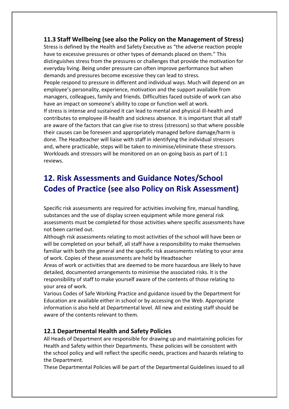#### **11.3 Staff Wellbeing (see also the Policy on the Management of Stress)**

Stress is defined by the Health and Safety Executive as "the adverse reaction people have to excessive pressures or other types of demands placed on them." This distinguishes stress from the pressures or challenges that provide the motivation for everyday living. Being under pressure can often improve performance but when demands and pressures become excessive they can lead to stress. People respond to pressure in different and individual ways. Much will depend on an employee's personality, experience, motivation and the support available from managers, colleagues, family and friends. Difficulties faced outside of work can also have an impact on someone's ability to cope or function well at work. If stress is intense and sustained it can lead to mental and physical ill-health and contributes to employee ill-health and sickness absence. It is important that all staff are aware of the factors that can give rise to stress (stressors) so that where possible their causes can be foreseen and appropriately managed before damage/harm is done. The Headteacher will liaise with staff in identifying the individual stressors and, where practicable, steps will be taken to minimise/eliminate these stressors. Workloads and stressors will be monitored on an on-going basis as part of 1:1 reviews.

# **12. Risk Assessments and Guidance Notes/School Codes of Practice (see also Policy on Risk Assessment)**

Specific risk assessments are required for activities involving fire, manual handling, substances and the use of display screen equipment while more general risk assessments must be completed for those activities where specific assessments have not been carried out.

Although risk assessments relating to most activities of the school will have been or will be completed on your behalf, all staff have a responsibility to make themselves familiar with both the general and the specific risk assessments relating to your area of work. Copies of these assessments are held by Headteacher

Areas of work or activities that are deemed to be more hazardous are likely to have detailed, documented arrangements to minimise the associated risks. It is the responsibility of staff to make yourself aware of the contents of those relating to your area of work.

Various Codes of Safe Working Practice and guidance issued by the Department for Education are available either in school or by accessing on the Web. Appropriate information is also held at Departmental level. All new and existing staff should be aware of the contents relevant to them.

#### **12.1 Departmental Health and Safety Policies**

All Heads of Department are responsible for drawing up and maintaining policies for Health and Safety within their Departments. These policies will be consistent with the school policy and will reflect the specific needs, practices and hazards relating to the Department.

These Departmental Policies will be part of the Departmental Guidelines issued to all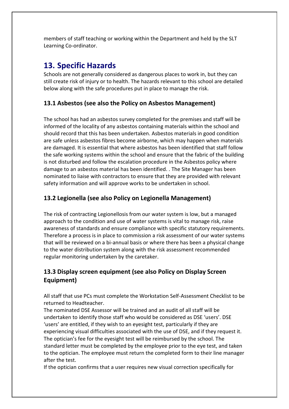members of staff teaching or working within the Department and held by the SLT Learning Co-ordinator.

# **13. Specific Hazards**

Schools are not generally considered as dangerous places to work in, but they can still create risk of injury or to health. The hazards relevant to this school are detailed below along with the safe procedures put in place to manage the risk.

### **13.1 Asbestos (see also the Policy on Asbestos Management)**

The school has had an asbestos survey completed for the premises and staff will be informed of the locality of any asbestos containing materials within the school and should record that this has been undertaken. Asbestos materials in good condition are safe unless asbestos fibres become airborne, which may happen when materials are damaged. It is essential that where asbestos has been identified that staff follow the safe working systems within the school and ensure that the fabric of the building is not disturbed and follow the escalation procedure in the Asbestos policy where damage to an asbestos material has been identified. . The Site Manager has been nominated to liaise with contractors to ensure that they are provided with relevant safety information and will approve works to be undertaken in school.

### **13.2 Legionella (see also Policy on Legionella Management)**

The risk of contracting Legionellosis from our water system is low, but a managed approach to the condition and use of water systems is vital to manage risk, raise awareness of standards and ensure compliance with specific statutory requirements. Therefore a process is in place to commission a risk assessment of our water systems that will be reviewed on a bi-annual basis or where there has been a physical change to the water distribution system along with the risk assessment recommended regular monitoring undertaken by the caretaker.

## **13.3 Display screen equipment (see also Policy on Display Screen Equipment)**

All staff that use PCs must complete the Workstation Self-Assessment Checklist to be returned to Headteacher.

The nominated DSE Assessor will be trained and an audit of all staff will be undertaken to identify those staff who would be considered as DSE 'users'. DSE 'users' are entitled, if they wish to an eyesight test, particularly if they are experiencing visual difficulties associated with the use of DSE, and if they request it. The optician's fee for the eyesight test will be reimbursed by the school. The standard letter must be completed by the employee prior to the eye test, and taken to the optician. The employee must return the completed form to their line manager after the test.

If the optician confirms that a user requires new visual correction specifically for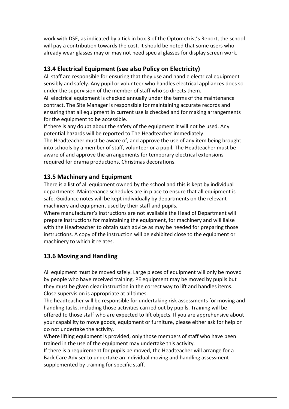work with DSE, as indicated by a tick in box 3 of the Optometrist's Report, the school will pay a contribution towards the cost. It should be noted that some users who already wear glasses may or may not need special glasses for display screen work.

### **13.4 Electrical Equipment (see also Policy on Electricity)**

All staff are responsible for ensuring that they use and handle electrical equipment sensibly and safely. Any pupil or volunteer who handles electrical appliances does so under the supervision of the member of staff who so directs them.

All electrical equipment is checked annually under the terms of the maintenance contract. The Site Manager is responsible for maintaining accurate records and ensuring that all equipment in current use is checked and for making arrangements for the equipment to be accessible.

If there is any doubt about the safety of the equipment it will not be used. Any potential hazards will be reported to The Headteacher immediately.

The Headteacher must be aware of, and approve the use of any item being brought into schools by a member of staff, volunteer or a pupil. The Headteacher must be aware of and approve the arrangements for temporary electrical extensions required for drama productions, Christmas decorations.

#### **13.5 Machinery and Equipment**

There is a list of all equipment owned by the school and this is kept by individual departments. Maintenance schedules are in place to ensure that all equipment is safe. Guidance notes will be kept individually by departments on the relevant machinery and equipment used by their staff and pupils.

Where manufacturer's instructions are not available the Head of Department will prepare instructions for maintaining the equipment, for machinery and will liaise with the Headteacher to obtain such advice as may be needed for preparing those instructions. A copy of the instruction will be exhibited close to the equipment or machinery to which it relates.

#### **13.6 Moving and Handling**

All equipment must be moved safely. Large pieces of equipment will only be moved by people who have received training. PE equipment may be moved by pupils but they must be given clear instruction in the correct way to lift and handles items. Close supervision is appropriate at all times.

The headteacher will be responsible for undertaking risk assessments for moving and handling tasks, including those activities carried out by pupils. Training will be offered to those staff who are expected to lift objects. If you are apprehensive about your capability to move goods, equipment or furniture, please either ask for help or do not undertake the activity.

Where lifting equipment is provided, only those members of staff who have been trained in the use of the equipment may undertake this activity.

If there is a requirement for pupils be moved, the Headteacher will arrange for a Back Care Adviser to undertake an individual moving and handling assessment supplemented by training for specific staff.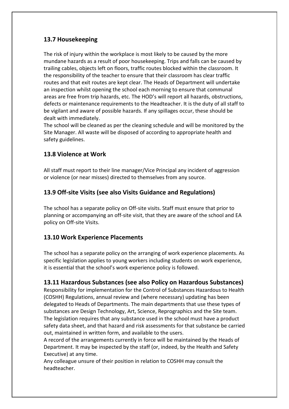### **13.7 Housekeeping**

The risk of injury within the workplace is most likely to be caused by the more mundane hazards as a result of poor housekeeping. Trips and falls can be caused by trailing cables, objects left on floors, traffic routes blocked within the classroom. It the responsibility of the teacher to ensure that their classroom has clear traffic routes and that exit routes are kept clear. The Heads of Department will undertake an inspection whilst opening the school each morning to ensure that communal areas are free from trip hazards, etc. The HOD's will report all hazards, obstructions, defects or maintenance requirements to the Headteacher. It is the duty of all staff to be vigilant and aware of possible hazards. If any spillages occur, these should be dealt with immediately.

The school will be cleaned as per the cleaning schedule and will be monitored by the Site Manager. All waste will be disposed of according to appropriate health and safety guidelines.

#### **13.8 Violence at Work**

All staff must report to their line manager/Vice Principal any incident of aggression or violence (or near misses) directed to themselves from any source.

#### **13.9 Off-site Visits (see also Visits Guidance and Regulations)**

The school has a separate policy on Off-site visits. Staff must ensure that prior to planning or accompanying an off-site visit, that they are aware of the school and EA policy on Off-site Visits.

#### **13.10 Work Experience Placements**

The school has a separate policy on the arranging of work experience placements. As specific legislation applies to young workers including students on work experience, it is essential that the school's work experience policy is followed.

#### **13.11 Hazardous Substances (see also Policy on Hazardous Substances)**

Responsibility for implementation for the Control of Substances Hazardous to Health (COSHH) Regulations, annual review and (where necessary) updating has been delegated to Heads of Departments. The main departments that use these types of substances are Design Technology, Art, Science, Reprographics and the Site team. The legislation requires that any substance used in the school must have a product safety data sheet, and that hazard and risk assessments for that substance be carried out, maintained in written form, and available to the users.

A record of the arrangements currently in force will be maintained by the Heads of Department. It may be inspected by the staff (or, indeed, by the Health and Safety Executive) at any time.

Any colleague unsure of their position in relation to COSHH may consult the headteacher.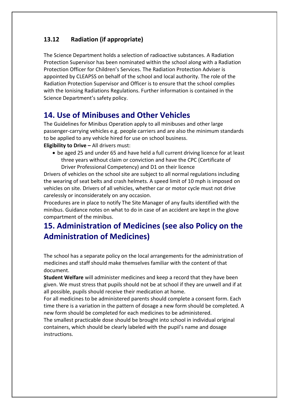## **13.12 Radiation (if appropriate)**

The Science Department holds a selection of radioactive substances. A Radiation Protection Supervisor has been nominated within the school along with a Radiation Protection Officer for Children's Services. The Radiation Protection Adviser is appointed by CLEAPSS on behalf of the school and local authority. The role of the Radiation Protection Supervisor and Officer is to ensure that the school complies with the Ionising Radiations Regulations. Further information is contained in the Science Department's safety policy.

# **14. Use of Minibuses and Other Vehicles**

The Guidelines for Minibus Operation apply to all minibuses and other large passenger-carrying vehicles e.g. people carriers and are also the minimum standards to be applied to any vehicle hired for use on school business. **Eligibility to Drive –** All drivers must:

 be aged 25 and under 65 and have held a full current driving licence for at least three years without claim or conviction and have the CPC (Certificate of Driver Professional Competency) and D1 on their licence

Drivers of vehicles on the school site are subject to all normal regulations including the wearing of seat belts and crash helmets. A speed limit of 10 mph is imposed on vehicles on site. Drivers of all vehicles, whether car or motor cycle must not drive carelessly or inconsiderately on any occasion.

Procedures are in place to notify The Site Manager of any faults identified with the minibus. Guidance notes on what to do in case of an accident are kept in the glove compartment of the minibus.

# **15. Administration of Medicines (see also Policy on the Administration of Medicines)**

The school has a separate policy on the local arrangements for the administration of medicines and staff should make themselves familiar with the content of that document.

**Student Welfare** will administer medicines and keep a record that they have been given. We must stress that pupils should not be at school if they are unwell and if at all possible, pupils should receive their medication at home.

For all medicines to be administered parents should complete a consent form. Each time there is a variation in the pattern of dosage a new form should be completed. A new form should be completed for each medicines to be administered.

The smallest practicable dose should be brought into school in individual original containers, which should be clearly labeled with the pupil's name and dosage instructions.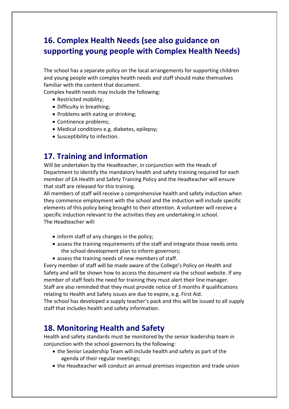# **16. Complex Health Needs (see also guidance on supporting young people with Complex Health Needs)**

The school has a separate policy on the local arrangements for supporting children and young people with complex health needs and staff should make themselves familiar with the content that document.

Complex health needs may include the following:

- Restricted mobility;
- Difficulty in breathing;
- Problems with eating or drinking;
- Continence problems;
- Medical conditions e.g. diabetes, epilepsy;
- Susceptibility to infection.

# **17. Training and Information**

Will be undertaken by the Headteacher, in conjunction with the Heads of Department to identify the mandatory health and safety training required for each member of EA Health and Safety Training Policy and the Headteacher will ensure that staff are released for this training.

All members of staff will receive a comprehensive health and safety induction when they commence employment with the school and the induction will include specific elements of this policy being brought to their attention. A volunteer will receive a specific induction relevant to the activities they are undertaking in school. The Headteacher will:

- inform staff of any changes in the policy;
- assess the training requirements of the staff and integrate those needs onto the school development plan to inform governors;
- assess the training needs of new members of staff.

Every member of staff will be made aware of the College's Policy on Health and Safety and will be shown how to access the document via the school website. If any member of staff feels the need for training they must alert their line manager. Staff are also reminded that they must provide notice of 3 months if qualifications relating to Health and Safety issues are due to expire, e.g. First Aid.

The school has developed a supply teacher's pack and this will be issued to all supply staff that includes health and safety information.

# **18. Monitoring Health and Safety**

Health and safety standards must be monitored by the senior leadership team in conjunction with the school governors by the following:

- the Senior Leadership Team will include health and safety as part of the agenda of their regular meetings;
- the Headteacher will conduct an annual premises inspection and trade union